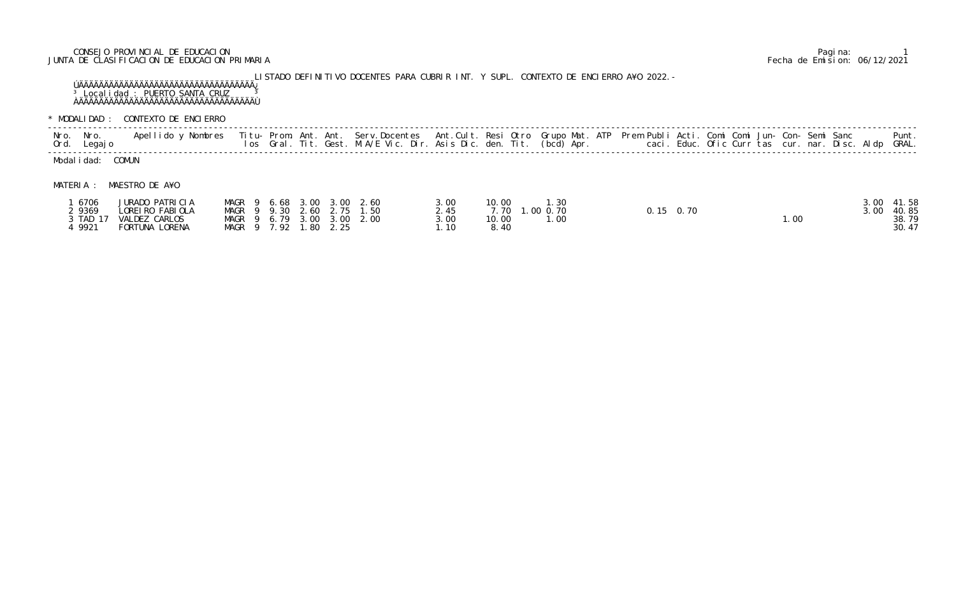## CONSEJO PROVINCIAL DE EDUCACION Pagina: 1 JUNTA DE CLASIFICACION DE EDUCACION PRIMARIA Fecha de Emision: 06/12/2021

LISTADO DEFINITIVO DOCENTES PARA CUBRIR INT. Y SUPL. CONTEXTO DE ENCIERRO A¥O 2022.- ÚÄÄÄÄÄÄÄÄÄÄÄÄÄÄÄÄÄÄÄÄÄÄÄÄÄÄÄÄÄÄÄÄÄÄÄ¿ <sup>3</sup> Localidad : PUERTO SANTA CRUZ <sup>3</sup> ÀÄÄÄÄÄÄÄÄÄÄÄÄÄÄÄÄÄÄÄÄÄÄÄÄÄÄÄÄÄÄÄÄÄÄÄÙ

 ----------------------------------------------------------------------------------------------------------------------------------------------------------------------------- Nro. Nro. Apellido y Nombres Titu- Prom. Ant. Ant. Serv.Docentes Ant.Cult. Resi Otro Grupo Mat. ATP Prem Publi Acti. Comi Comi Jun- Con- Semi Sanc Punt. Ord. Legajo los Gral. Tit. Gest. M.A/E Vic. Dir. Asis Dic. den. Tit. (bcd) Apr. loaci. Educ. Ofic Curr tas cur. nar. Disc. Aldp GRAL. ----------------------------------------------------------------------------------------------------------------------------------------------------------------------------- Modal i dad: COMUN

\* MODALIDAD : CONTEXTO DE ENCIERRO

## MATERIA : MAESTRO DE A¥O

| 6706     | <b>JURADO PATRICIA</b> |                  | MAGR 9 6.68 3.00 3.00 2.60 | 3.00 | 10.00<br>1.30                |                   |       | 3.00 | 41.58 |
|----------|------------------------|------------------|----------------------------|------|------------------------------|-------------------|-------|------|-------|
| 9369     | LOREI RO FABI OLA      |                  | MAGR 9 9.30 2.60 2.75 1.50 |      | .0000.70<br>7.70 1.          | $0.15 \quad 0.70$ |       | 3.00 | 40.85 |
| 3 TAD 17 | VALDEZ CARLOS          |                  | MAGR 9 6.79 3.00 3.00 2.00 | 3.00 | 10.00<br>$\mathsf{I}$ . $00$ |                   | 1. OC |      | 38.79 |
| 9921     | FORTUNA LORENA         | MAGR 9 7.92 1.80 | 2.25                       | .10  | 8.40                         |                   |       |      | 30.47 |

| Grupo Mat. ATP Prem Publi Acti. Comi Comi Jun- Con- Semi Sanc Punt.<br>(bcd) Apr.<br>caci. Educ. Ofic Curr tas cur. nar. Disc. Aldp GRAL. |  |
|-------------------------------------------------------------------------------------------------------------------------------------------|--|
|-------------------------------------------------------------------------------------------------------------------------------------------|--|